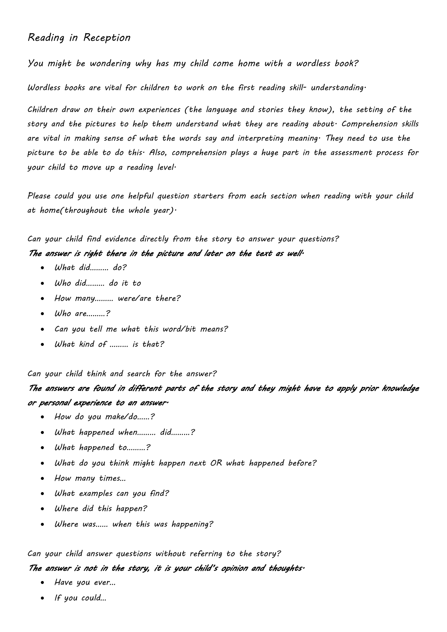## *Reading in Reception*

*You might be wondering why has my child come home with a wordless book?* 

*Wordless books are vital for children to work on the first reading skill- understanding.* 

*Children draw on their own experiences (the language and stories they know), the setting of the story and the pictures to help them understand what they are reading about. Comprehension skills are vital in making sense of what the words say and interpreting meaning. They need to use the picture to be able to do this. Also, comprehension plays a huge part in the assessment process for your child to move up a reading level.*

*Please could you use one helpful question starters from each section when reading with your child at home(throughout the whole year).* 

*Can your child find evidence directly from the story to answer your questions?*

### *The answer is right there in the picture and later on the text as well.*

- *What did……… do?*
- *Who did……… do it to*
- *How many……… were/are there?*
- *Who are………?*
- *Can you tell me what this word/bit means?*
- *What kind of ……… is that?*

*Can your child think and search for the answer?*

# *The answers are found in different parts of the story and they might have to apply prior knowledge or personal experience to an answer.*

- *How do you make/do……?*
- *What happened when……… did………?*
- *What happened to………?*
- *What do you think might happen next OR what happened before?*
- *How many times…*
- *What examples can you find?*
- *Where did this happen?*
- *Where was…… when this was happening?*

### *Can your child answer questions without referring to the story?*

### *The answer is not in the story, it is your child's opinion and thoughts.*

- *Have you ever…*
- *If you could…*